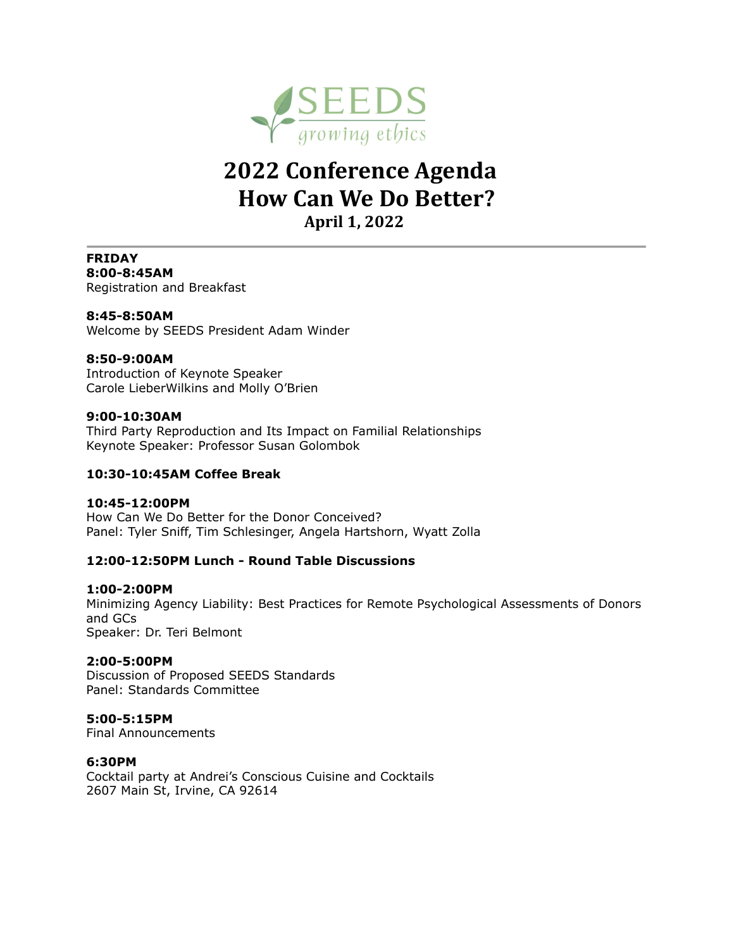

# **2022 Conference Agenda How Can We Do Better? April 1, 2022**

**FRIDAY 8:00-8:45AM** Registration and Breakfast

**8:45-8:50AM** Welcome by SEEDS President Adam Winder

### **8:50-9:00AM**

Introduction of Keynote Speaker Carole LieberWilkins and Molly O'Brien

#### **9:00-10:30AM**

Third Party Reproduction and Its Impact on Familial Relationships Keynote Speaker: Professor Susan Golombok

### **10:30-10:45AM Coffee Break**

#### **10:45-12:00PM**

How Can We Do Better for the Donor Conceived? Panel: Tyler Sniff, Tim Schlesinger, Angela Hartshorn, Wyatt Zolla

### **12:00-12:50PM Lunch - Round Table Discussions**

### **1:00-2:00PM**

Minimizing Agency Liability: Best Practices for Remote Psychological Assessments of Donors and GCs Speaker: Dr. Teri Belmont

### **2:00-5:00PM**

Discussion of Proposed SEEDS Standards Panel: Standards Committee

### **5:00-5:15PM**

Final Announcements

### **6:30PM**

Cocktail party at Andrei's Conscious Cuisine and Cocktails 2607 Main St, Irvine, CA 92614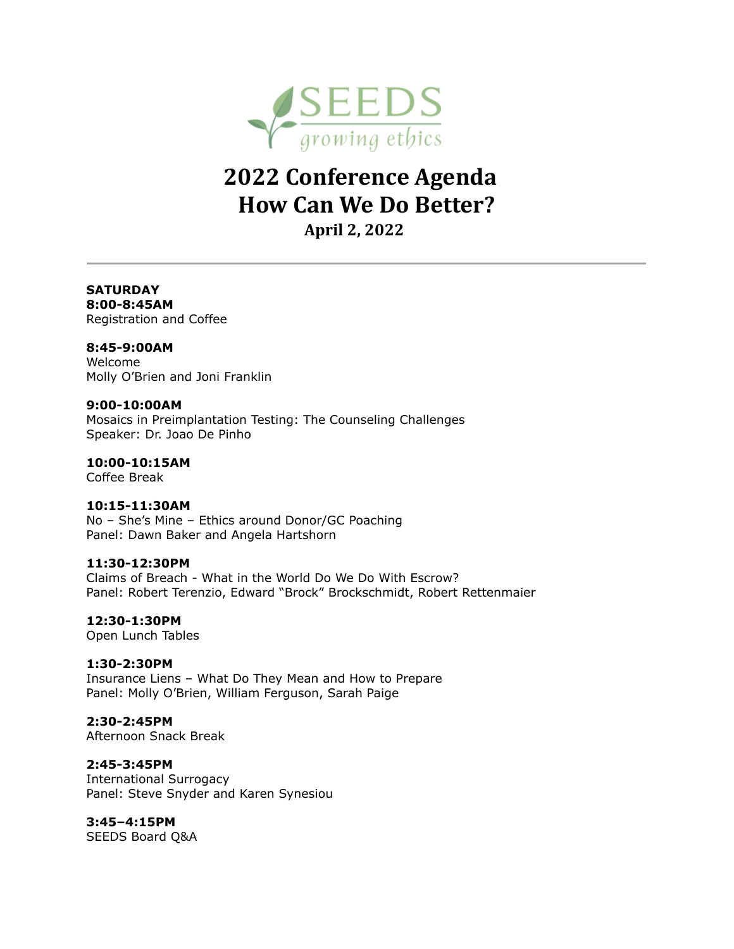

# **2022 Conference Agenda How Can We Do Better?**

**April 2, 2022** 

# **SATURDAY**

**8:00-8:45AM** Registration and Coffee

## **8:45-9:00AM**

Welcome Molly O'Brien and Joni Franklin

## **9:00-10:00AM**

Mosaics in Preimplantation Testing: The Counseling Challenges Speaker: Dr. Joao De Pinho

# **10:00-10:15AM**

Coffee Break

# **10:15-11:30AM**

No – She's Mine – Ethics around Donor/GC Poaching Panel: Dawn Baker and Angela Hartshorn

## **11:30-12:30PM**

Claims of Breach - What in the World Do We Do With Escrow? Panel: Robert Terenzio, Edward "Brock" Brockschmidt, Robert Rettenmaier

# **12:30-1:30PM**

Open Lunch Tables

# **1:30-2:30PM**

Insurance Liens – What Do They Mean and How to Prepare Panel: Molly O'Brien, William Ferguson, Sarah Paige

# **2:30-2:45PM**

Afternoon Snack Break

# **2:45-3:45PM**

International Surrogacy Panel: Steve Snyder and Karen Synesiou

# **3:45–4:15PM**

SEEDS Board Q&A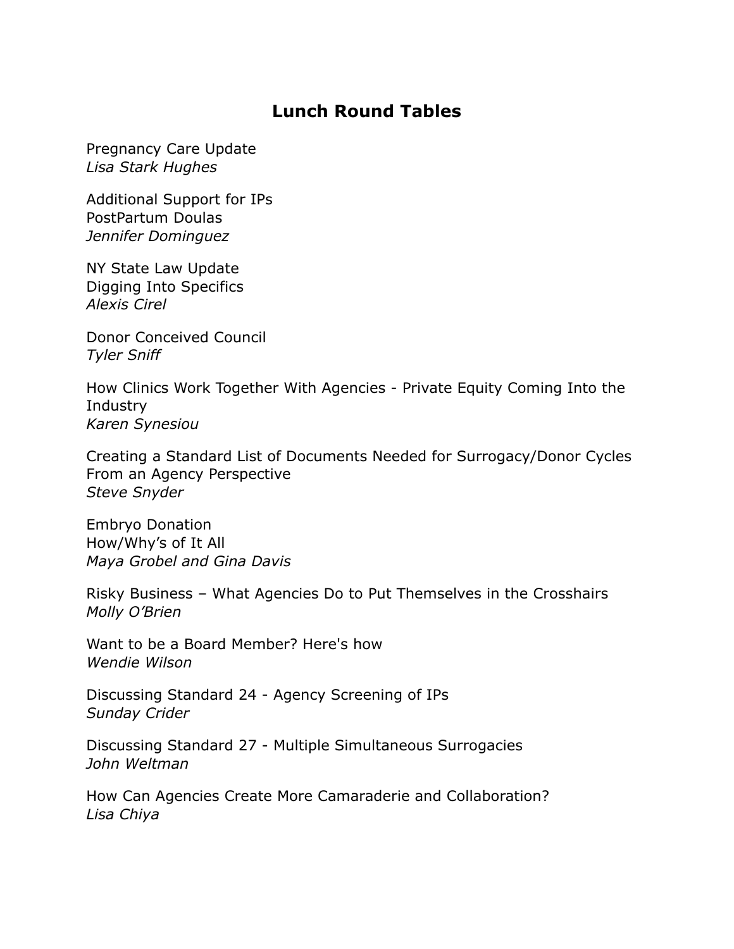# **Lunch Round Tables**

Pregnancy Care Update *Lisa Stark Hughes*

Additional Support for IPs PostPartum Doulas *Jennifer Dominguez*

NY State Law Update Digging Into Specifics *Alexis Cirel*

Donor Conceived Council *Tyler Sniff*

How Clinics Work Together With Agencies - Private Equity Coming Into the Industry *Karen Synesiou*

Creating a Standard List of Documents Needed for Surrogacy/Donor Cycles From an Agency Perspective *Steve Snyder*

Embryo Donation How/Why's of It All *Maya Grobel and Gina Davis* 

Risky Business – What Agencies Do to Put Themselves in the Crosshairs *Molly O'Brien*

Want to be a Board Member? Here's how *Wendie Wilson*

Discussing Standard 24 - Agency Screening of IPs *Sunday Crider*

Discussing Standard 27 - Multiple Simultaneous Surrogacies *John Weltman*

How Can Agencies Create More Camaraderie and Collaboration? *Lisa Chiya*